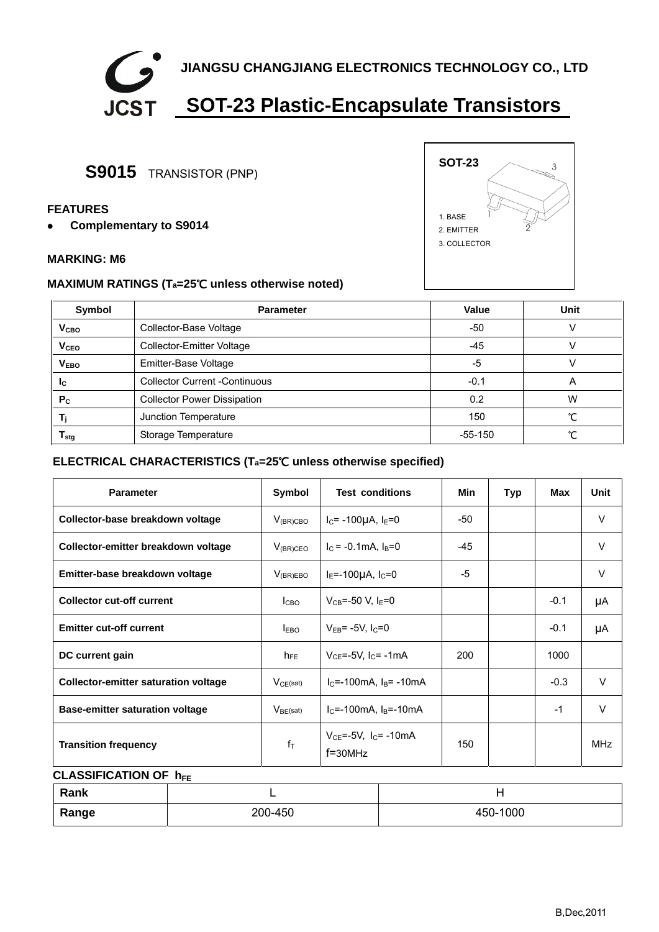

## **S9015** TRANSISTOR (PNP)

#### **FEATURES**

**•** Complementary to S9014

#### **MARKING: M6**

### **MAXIMUM RATINGS (Ta=25**℃ **unless otherwise noted)**

| Symbol                      | <b>Parameter</b>                     | Value     | Unit |  |
|-----------------------------|--------------------------------------|-----------|------|--|
| V <sub>CBO</sub>            | Collector-Base Voltage               | $-50$     |      |  |
| <b>V<sub>CEO</sub></b>      | Collector-Emitter Voltage            | -45       |      |  |
| V <sub>EBO</sub>            | Emitter-Base Voltage                 | -5        |      |  |
| <b>I</b> c                  | <b>Collector Current -Continuous</b> | $-0.1$    | Α    |  |
| P <sub>c</sub>              | <b>Collector Power Dissipation</b>   | 0.2       | W    |  |
|                             | Junction Temperature                 | 150       | ∽    |  |
| $\mathsf{r}_{\mathsf{stg}}$ | Storage Temperature                  | $-55-150$ | ∽    |  |

### **ELECTRICAL CHARACTERISTICS (Ta=25**℃ **unless otherwise specified)**

| <b>Parameter</b>                            | Symbol           | <b>Test conditions</b>                        | Min | <b>Typ</b> | Max    | Unit       |
|---------------------------------------------|------------------|-----------------------------------------------|-----|------------|--------|------------|
| Collector-base breakdown voltage            | $V_{(BR)CBO}$    | $I_C$ = -100µA, $I_E$ =0                      | -50 |            |        | $\vee$     |
| Collector-emitter breakdown voltage         | $V_{(BR)CEO}$    | $IC = -0.1mA$ , $IB=0$                        | -45 |            |        | $\vee$     |
| Emitter-base breakdown voltage              | $V_{(BR)EBO}$    | -5<br>$I_E = -100\mu A$ , $I_C = 0$           |     |            |        | V          |
| <b>Collector cut-off current</b>            | I <sub>CBO</sub> | $V_{CB} = -50 V, I_F = 0$                     |     |            | $-0.1$ | μA         |
| <b>Emitter cut-off current</b>              | <b>LEBO</b>      | $V_{EB}$ = -5V, $I_C$ =0                      |     |            | $-0.1$ | μA         |
| DC current gain                             | $h_{FE}$         | $V_{CF}$ =-5V, $I_{C}$ = -1mA<br>200          |     |            | 1000   |            |
| <b>Collector-emitter saturation voltage</b> | $V_{CE}(sat)$    | $IC=-100mA$ . $IB=-10mA$                      |     |            | $-0.3$ | $\vee$     |
| <b>Base-emitter saturation voltage</b>      | $V_{BE}$ (sat)   | $IC=-100mA, IB=-10mA$                         |     |            | $-1$   | $\vee$     |
| <b>Transition frequency</b>                 | $f_T$            | $V_{CE} = -5V$ , $I_C = -10mA$<br>$f = 30MHz$ | 150 |            |        | <b>MHz</b> |

### **CLASSIFICATION OF**  $h_{FE}$

| Rank  | --      |          |
|-------|---------|----------|
| Range | 200-450 | 450-1000 |



3

**SOT-23** 

1. BASE